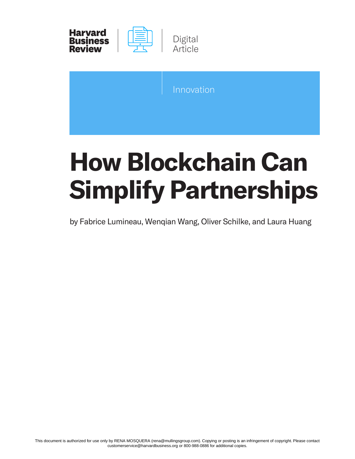

| Innovation |  |  |
|------------|--|--|
|            |  |  |

# **How Blockchain Can Simplify Partnerships**

by Fabrice Lumineau, Wenqian Wang, Oliver Schilke, and Laura Huang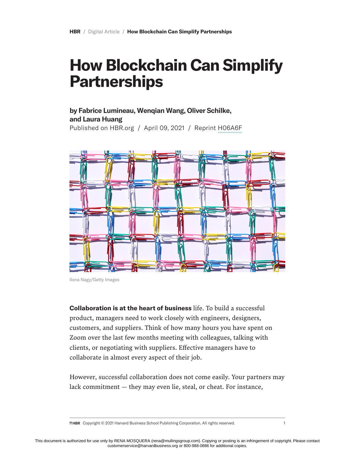# **How Blockchain Can Simplify Partnerships**

## **by Fabrice Lumineau, Wenqian Wang, Oliver Schilke, and Laura Huang**

Published on HBR.org / April 09, 2021 / Reprint [H06A6F](https://hbr.org/2021/04/how-blockchain-can-simplify-partnerships)



Ilona Nagy/Getty Images

**Collaboration is at the heart of business** life. To build a successful product, managers need to work closely with engineers, designers, customers, and suppliers. Think of how many hours you have spent on Zoom over the last few months meeting with colleagues, talking with clients, or negotiating with suppliers. Effective managers have to collaborate in almost every aspect of their job.

However, successful collaboration does not come easily. Your partners may lack commitment — they may even lie, steal, or cheat. For instance,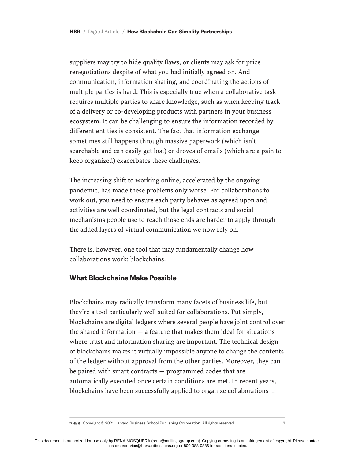suppliers may try to hide quality flaws, or clients may ask for price renegotiations despite of what you had initially agreed on. And communication, information sharing, and coordinating the actions of multiple parties is hard. This is especially true when a collaborative task requires multiple parties to share knowledge, such as when keeping track of a delivery or co-developing products with partners in your business ecosystem. It can be challenging to ensure the information recorded by different entities is consistent. The fact that information exchange sometimes still happens through massive paperwork (which isn't searchable and can easily get lost) or droves of emails (which are a pain to keep organized) exacerbates these challenges.

The increasing shift to working online, accelerated by the ongoing pandemic, has made these problems only worse. For collaborations to work out, you need to ensure each party behaves as agreed upon and activities are well coordinated, but the legal contracts and social mechanisms people use to reach those ends are harder to apply through the added layers of virtual communication we now rely on.

There is, however, one tool that may fundamentally change how collaborations work: blockchains.

#### **What Blockchains Make Possible**

Blockchains may radically transform many facets of business life, but they're a tool particularly well suited for collaborations. Put simply, blockchains are digital ledgers where several people have joint control over the shared information  $-$  a feature that makes them ideal for situations where trust and information sharing are important. The technical design of blockchains makes it virtually impossible anyone to change the contents of the ledger without approval from the other parties. Moreover, they can be paired with smart contracts — programmed codes that are automatically executed once certain conditions are met. In recent years, blockchains have been successfully applied to organize collaborations in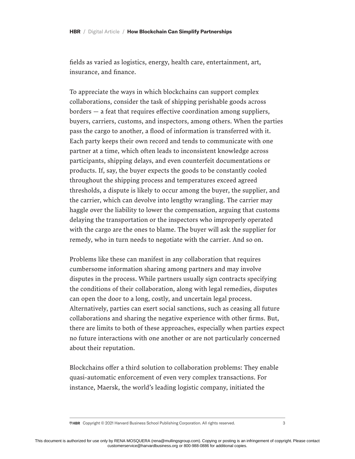fields as varied as logistics, energy, health care, entertainment, art, insurance, and finance.

To appreciate the ways in which blockchains can support complex collaborations, consider the task of shipping perishable goods across borders — a feat that requires effective coordination among suppliers, buyers, carriers, customs, and inspectors, among others. When the parties pass the cargo to another, a flood of information is transferred with it. Each party keeps their own record and tends to communicate with one partner at a time, which often leads to inconsistent knowledge across participants, shipping delays, and even counterfeit documentations or products. If, say, the buyer expects the goods to be constantly cooled throughout the shipping process and temperatures exceed agreed thresholds, a dispute is likely to occur among the buyer, the supplier, and the carrier, which can devolve into lengthy wrangling. The carrier may haggle over the liability to lower the compensation, arguing that customs delaying the transportation or the inspectors who improperly operated with the cargo are the ones to blame. The buyer will ask the supplier for remedy, who in turn needs to negotiate with the carrier. And so on.

Problems like these can manifest in any collaboration that requires cumbersome information sharing among partners and may involve disputes in the process. While partners usually sign contracts specifying the conditions of their collaboration, along with legal remedies, disputes can open the door to a long, costly, and uncertain legal process. Alternatively, parties can exert social sanctions, such as ceasing all future collaborations and sharing the negative experience with other firms. But, there are limits to both of these approaches, especially when parties expect no future interactions with one another or are not particularly concerned about their reputation.

Blockchains offer a third solution to collaboration problems: They enable quasi-automatic enforcement of even very complex transactions. For instance, Maersk, the world's leading logistic company, initiated the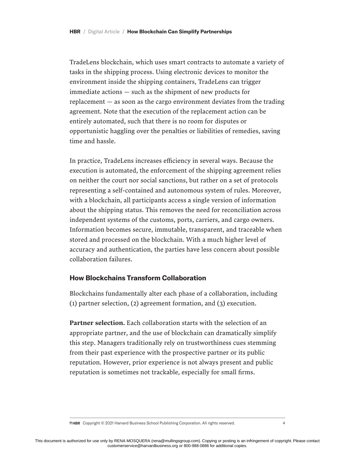TradeLens blockchain, which uses smart contracts to automate a variety of tasks in the shipping process. Using electronic devices to monitor the environment inside the shipping containers, TradeLens can trigger immediate actions — such as the shipment of new products for replacement — as soon as the cargo environment deviates from the trading agreement. Note that the execution of the replacement action can be entirely automated, such that there is no room for disputes or opportunistic haggling over the penalties or liabilities of remedies, saving time and hassle.

In practice, TradeLens increases efficiency in several ways. Because the execution is automated, the enforcement of the shipping agreement relies on neither the court nor social sanctions, but rather on a set of protocols representing a self-contained and autonomous system of rules. Moreover, with a blockchain, all participants access a single version of information about the shipping status. This removes the need for reconciliation across independent systems of the customs, ports, carriers, and cargo owners. Information becomes secure, immutable, transparent, and traceable when stored and processed on the blockchain. With a much higher level of accuracy and authentication, the parties have less concern about possible collaboration failures.

### **How Blockchains Transform Collaboration**

Blockchains fundamentally alter each phase of a collaboration, including (1) partner selection, (2) agreement formation, and (3) execution.

Partner selection. Each collaboration starts with the selection of an appropriate partner, and the use of blockchain can dramatically simplify this step. Managers traditionally rely on trustworthiness cues stemming from their past experience with the prospective partner or its public reputation. However, prior experience is not always present and public reputation is sometimes not trackable, especially for small firms.

 $\overline{\triangledown}$ HBR Copyright © 2021 Harvard Business School Publishing Corporation. All rights reserved. 4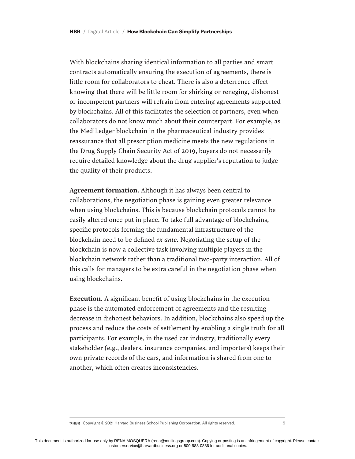With blockchains sharing identical information to all parties and smart contracts automatically ensuring the execution of agreements, there is little room for collaborators to cheat. There is also a deterrence effect knowing that there will be little room for shirking or reneging, dishonest or incompetent partners will refrain from entering agreements supported by blockchains. All of this facilitates the selection of partners, even when collaborators do not know much about their counterpart. For example, as the MediLedger blockchain in the pharmaceutical industry provides reassurance that all prescription medicine meets the new regulations in the Drug Supply Chain Security Act of 2019, buyers do not necessarily require detailed knowledge about the drug supplier's reputation to judge the quality of their products.

Agreement formation. Although it has always been central to collaborations, the negotiation phase is gaining even greater relevance when using blockchains. This is because blockchain protocols cannot be easily altered once put in place. To take full advantage of blockchains, specific protocols forming the fundamental infrastructure of the blockchain need to be defined *ex ante*. Negotiating the setup of the blockchain is now a collective task involving multiple players in the blockchain network rather than a traditional two-party interaction. All of this calls for managers to be extra careful in the negotiation phase when using blockchains.

Execution. A significant benefit of using blockchains in the execution phase is the automated enforcement of agreements and the resulting decrease in dishonest behaviors. In addition, blockchains also speed up the process and reduce the costs of settlement by enabling a single truth for all participants. For example, in the used car industry, traditionally every stakeholder (e.g., dealers, insurance companies, and importers) keeps their own private records of the cars, and information is shared from one to another, which often creates inconsistencies.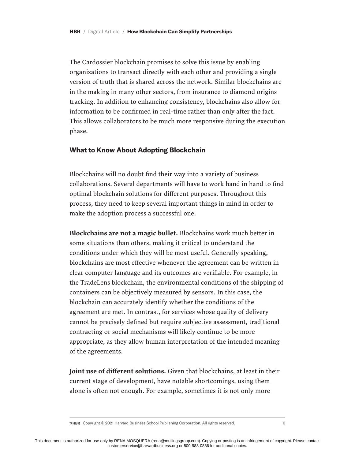The Cardossier blockchain promises to solve this issue by enabling organizations to transact directly with each other and providing a single version of truth that is shared across the network. Similar blockchains are in the making in many other sectors, from insurance to diamond origins tracking. In addition to enhancing consistency, blockchains also allow for information to be confirmed in real-time rather than only after the fact. This allows collaborators to be much more responsive during the execution phase.

#### **What to Know About Adopting Blockchain**

Blockchains will no doubt find their way into a variety of business collaborations. Several departments will have to work hand in hand to find optimal blockchain solutions for different purposes. Throughout this process, they need to keep several important things in mind in order to make the adoption process a successful one.

Blockchains are not a magic bullet. Blockchains work much better in some situations than others, making it critical to understand the conditions under which they will be most useful. Generally speaking, blockchains are most effective whenever the agreement can be written in clear computer language and its outcomes are verifiable. For example, in the TradeLens blockchain, the environmental conditions of the shipping of containers can be objectively measured by sensors. In this case, the blockchain can accurately identify whether the conditions of the agreement are met. In contrast, for services whose quality of delivery cannot be precisely defined but require subjective assessment, traditional contracting or social mechanisms will likely continue to be more appropriate, as they allow human interpretation of the intended meaning of the agreements.

Joint use of different solutions. Given that blockchains, at least in their current stage of development, have notable shortcomings, using them alone is often not enough. For example, sometimes it is not only more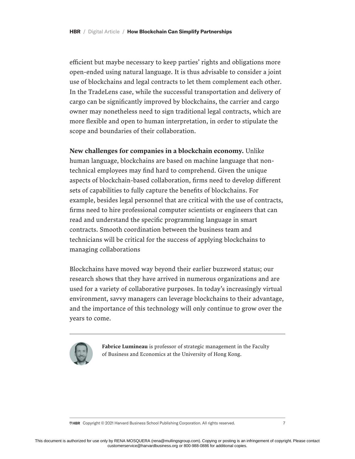efficient but maybe necessary to keep parties' rights and obligations more open-ended using natural language. It is thus advisable to consider a joint use of blockchains and legal contracts to let them complement each other. In the TradeLens case, while the successful transportation and delivery of cargo can be significantly improved by blockchains, the carrier and cargo owner may nonetheless need to sign traditional legal contracts, which are more flexible and open to human interpretation, in order to stipulate the scope and boundaries of their collaboration.

#### New challenges for companies in a blockchain economy. Unlike

human language, blockchains are based on machine language that nontechnical employees may find hard to comprehend. Given the unique aspects of blockchain-based collaboration, firms need to develop different sets of capabilities to fully capture the benefits of blockchains. For example, besides legal personnel that are critical with the use of contracts, firms need to hire professional computer scientists or engineers that can read and understand the specific programming language in smart contracts. Smooth coordination between the business team and technicians will be critical for the success of applying blockchains to managing collaborations

Blockchains have moved way beyond their earlier buzzword status; our research shows that they have arrived in numerous organizations and are used for a variety of collaborative purposes. In today's increasingly virtual environment, savvy managers can leverage blockchains to their advantage, and the importance of this technology will only continue to grow over the years to come.



Fabrice Lumineau is professor of strategic management in the Faculty of Business and Economics at the University of Hong Kong.